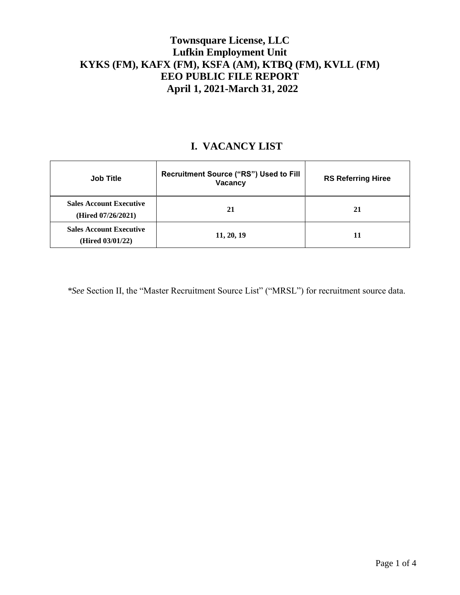## **Townsquare License, LLC Lufkin Employment Unit KYKS (FM), KAFX (FM), KSFA (AM), KTBQ (FM), KVLL (FM) EEO PUBLIC FILE REPORT April 1, 2021-March 31, 2022**

## **I. VACANCY LIST**

| <b>Job Title</b>                                     | Recruitment Source ("RS") Used to Fill<br>Vacancy | <b>RS Referring Hiree</b> |
|------------------------------------------------------|---------------------------------------------------|---------------------------|
| <b>Sales Account Executive</b><br>(Hired 07/26/2021) | 21                                                | 21                        |
| <b>Sales Account Executive</b><br>(Hired 03/01/22)   | 11, 20, 19                                        | 11                        |

*\*See* Section II, the "Master Recruitment Source List" ("MRSL") for recruitment source data.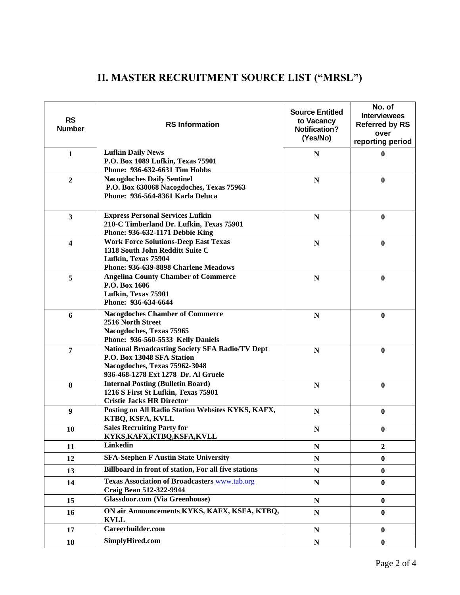| <b>RS</b><br><b>Number</b> | <b>RS</b> Information                                                                                                                                        | <b>Source Entitled</b><br>to Vacancy<br><b>Notification?</b><br>(Yes/No) | No. of<br><b>Interviewees</b><br><b>Referred by RS</b><br>over<br>reporting period |
|----------------------------|--------------------------------------------------------------------------------------------------------------------------------------------------------------|--------------------------------------------------------------------------|------------------------------------------------------------------------------------|
| $\mathbf{1}$               | <b>Lufkin Daily News</b><br>P.O. Box 1089 Lufkin, Texas 75901<br>Phone: 936-632-6631 Tim Hobbs                                                               | N                                                                        | $\boldsymbol{0}$                                                                   |
| $\overline{2}$             | <b>Nacogdoches Daily Sentinel</b><br>P.O. Box 630068 Nacogdoches, Texas 75963<br>Phone: 936-564-8361 Karla Deluca                                            | ${\bf N}$                                                                | $\bf{0}$                                                                           |
| $\overline{\mathbf{3}}$    | <b>Express Personal Services Lufkin</b><br>210-C Timberland Dr. Lufkin, Texas 75901<br>Phone: 936-632-1171 Debbie King                                       | ${\bf N}$                                                                | $\boldsymbol{0}$                                                                   |
| $\overline{\mathbf{4}}$    | <b>Work Force Solutions-Deep East Texas</b><br>1318 South John Redditt Suite C<br>Lufkin, Texas 75904<br>Phone: 936-639-8898 Charlene Meadows                | $\mathbf N$                                                              | $\bf{0}$                                                                           |
| 5                          | <b>Angelina County Chamber of Commerce</b><br>P.O. Box 1606<br>Lufkin, Texas 75901<br>Phone: 936-634-6644                                                    | $\mathbf N$                                                              | $\boldsymbol{0}$                                                                   |
| 6                          | <b>Nacogdoches Chamber of Commerce</b><br>2516 North Street<br>Nacogdoches, Texas 75965<br>Phone: 936-560-5533 Kelly Daniels                                 | ${\bf N}$                                                                | $\bf{0}$                                                                           |
| 7                          | <b>National Broadcasting Society SFA Radio/TV Dept</b><br>P.O. Box 13048 SFA Station<br>Nacogdoches, Texas 75962-3048<br>936-468-1278 Ext 1278 Dr. Al Gruele | ${\bf N}$                                                                | $\boldsymbol{0}$                                                                   |
| 8                          | <b>Internal Posting (Bulletin Board)</b><br>1216 S First St Lufkin, Texas 75901<br><b>Cristie Jacks HR Director</b>                                          | $\mathbf N$                                                              | $\bf{0}$                                                                           |
| $\boldsymbol{9}$           | Posting on All Radio Station Websites KYKS, KAFX,<br>KTBQ, KSFA, KVLL                                                                                        | ${\bf N}$                                                                | $\bf{0}$                                                                           |
| 10                         | <b>Sales Recruiting Party for</b><br>KYKS, KAFX, KTBQ, KSFA, KVLL                                                                                            | $\mathbf N$                                                              | $\bf{0}$                                                                           |
| 11                         | <b>Linkedin</b>                                                                                                                                              | ${\bf N}$                                                                | $\boldsymbol{2}$                                                                   |
| 12                         | <b>SFA-Stephen F Austin State University</b>                                                                                                                 | N                                                                        | $\bf{0}$                                                                           |
| 13                         | Billboard in front of station, For all five stations                                                                                                         | ${\bf N}$                                                                | $\bf{0}$                                                                           |
| 14                         | <b>Texas Association of Broadcasters www.tab.org</b><br>Craig Bean 512-322-9944                                                                              | N                                                                        | $\bf{0}$                                                                           |
| 15                         | <b>Glassdoor.com (Via Greenhouse)</b>                                                                                                                        | ${\bf N}$                                                                | $\bf{0}$                                                                           |
| 16                         | ON air Announcements KYKS, KAFX, KSFA, KTBQ,<br><b>KVLL</b>                                                                                                  | ${\bf N}$                                                                | $\bf{0}$                                                                           |
| 17                         | Careerbuilder.com                                                                                                                                            | $\mathbf N$                                                              | $\bf{0}$                                                                           |
| 18                         | SimplyHired.com                                                                                                                                              | ${\bf N}$                                                                | $\bf{0}$                                                                           |

## **II. MASTER RECRUITMENT SOURCE LIST ("MRSL")**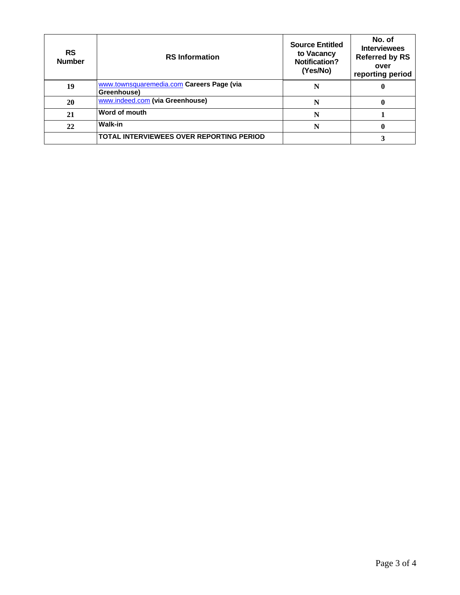| <b>RS</b><br><b>Number</b> | <b>RS</b> Information                                    | <b>Source Entitled</b><br>to Vacancy<br><b>Notification?</b><br>(Yes/No) | No. of<br><b>Interviewees</b><br><b>Referred by RS</b><br>over<br>reporting period |
|----------------------------|----------------------------------------------------------|--------------------------------------------------------------------------|------------------------------------------------------------------------------------|
| 19                         | www.townsquaremedia.com Careers Page (via<br>Greenhouse) | N                                                                        | 0                                                                                  |
| 20                         | www.indeed.com (via Greenhouse)                          | N                                                                        | 0                                                                                  |
| 21                         | Word of mouth                                            | N                                                                        |                                                                                    |
| 22                         | <b>Walk-in</b>                                           | N                                                                        | $\bf{0}$                                                                           |
|                            | TOTAL INTERVIEWEES OVER REPORTING PERIOD                 |                                                                          |                                                                                    |